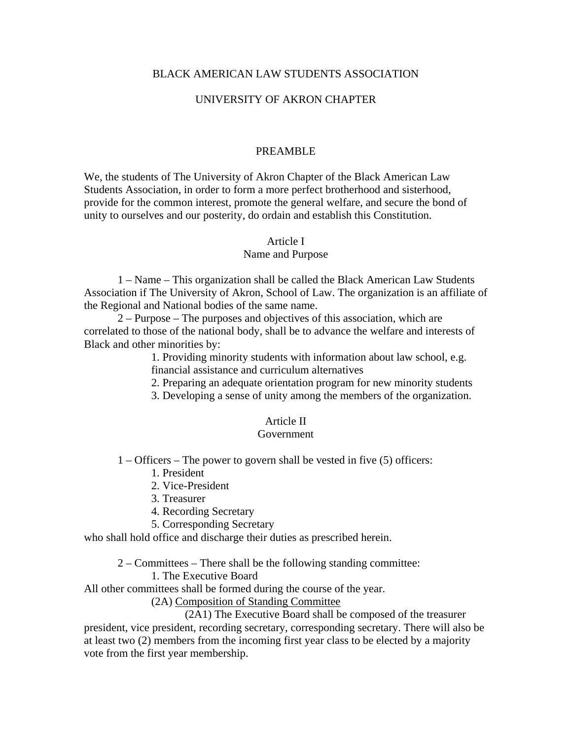## BLACK AMERICAN LAW STUDENTS ASSOCIATION

## UNIVERSITY OF AKRON CHAPTER

#### PREAMBLE

We, the students of The University of Akron Chapter of the Black American Law Students Association, in order to form a more perfect brotherhood and sisterhood, provide for the common interest, promote the general welfare, and secure the bond of unity to ourselves and our posterity, do ordain and establish this Constitution.

#### Article I

#### Name and Purpose

 1 – Name – This organization shall be called the Black American Law Students Association if The University of Akron, School of Law. The organization is an affiliate of the Regional and National bodies of the same name.

 2 – Purpose – The purposes and objectives of this association, which are correlated to those of the national body, shall be to advance the welfare and interests of Black and other minorities by:

> 1. Providing minority students with information about law school, e.g. financial assistance and curriculum alternatives

- 2. Preparing an adequate orientation program for new minority students
- 3. Developing a sense of unity among the members of the organization.

#### Article II

#### Government

1 – Officers – The power to govern shall be vested in five (5) officers:

- 1. President
- 2. Vice-President
- 3. Treasurer
- 4. Recording Secretary
- 5. Corresponding Secretary

who shall hold office and discharge their duties as prescribed herein.

2 – Committees – There shall be the following standing committee:

#### 1. The Executive Board

All other committees shall be formed during the course of the year.

(2A) Composition of Standing Committee

(2A1) The Executive Board shall be composed of the treasurer

president, vice president, recording secretary, corresponding secretary. There will also be at least two (2) members from the incoming first year class to be elected by a majority vote from the first year membership.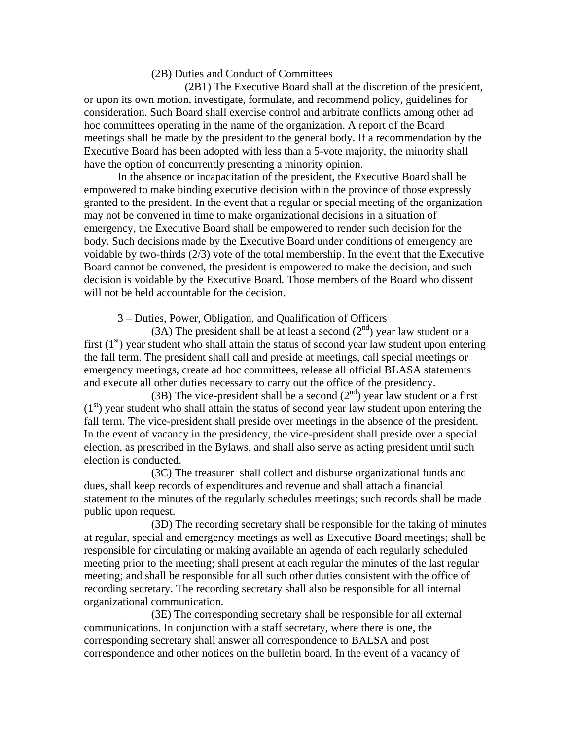#### (2B) Duties and Conduct of Committees

 (2B1) The Executive Board shall at the discretion of the president, or upon its own motion, investigate, formulate, and recommend policy, guidelines for consideration. Such Board shall exercise control and arbitrate conflicts among other ad hoc committees operating in the name of the organization. A report of the Board meetings shall be made by the president to the general body. If a recommendation by the Executive Board has been adopted with less than a 5-vote majority, the minority shall have the option of concurrently presenting a minority opinion.

 In the absence or incapacitation of the president, the Executive Board shall be empowered to make binding executive decision within the province of those expressly granted to the president. In the event that a regular or special meeting of the organization may not be convened in time to make organizational decisions in a situation of emergency, the Executive Board shall be empowered to render such decision for the body. Such decisions made by the Executive Board under conditions of emergency are voidable by two-thirds (2/3) vote of the total membership. In the event that the Executive Board cannot be convened, the president is empowered to make the decision, and such decision is voidable by the Executive Board. Those members of the Board who dissent will not be held accountable for the decision.

3 – Duties, Power, Obligation, and Qualification of Officers

(3A) The president shall be at least a second  $(2<sup>nd</sup>)$  year law student or a first  $(1<sup>st</sup>)$  year student who shall attain the status of second year law student upon entering the fall term. The president shall call and preside at meetings, call special meetings or emergency meetings, create ad hoc committees, release all official BLASA statements and execute all other duties necessary to carry out the office of the presidency.

(3B) The vice-president shall be a second  $(2<sup>nd</sup>)$  year law student or a first  $(1<sup>st</sup>)$  year student who shall attain the status of second year law student upon entering the fall term. The vice-president shall preside over meetings in the absence of the president. In the event of vacancy in the presidency, the vice-president shall preside over a special election, as prescribed in the Bylaws, and shall also serve as acting president until such election is conducted.

 (3C) The treasurer shall collect and disburse organizational funds and dues, shall keep records of expenditures and revenue and shall attach a financial statement to the minutes of the regularly schedules meetings; such records shall be made public upon request.

 (3D) The recording secretary shall be responsible for the taking of minutes at regular, special and emergency meetings as well as Executive Board meetings; shall be responsible for circulating or making available an agenda of each regularly scheduled meeting prior to the meeting; shall present at each regular the minutes of the last regular meeting; and shall be responsible for all such other duties consistent with the office of recording secretary. The recording secretary shall also be responsible for all internal organizational communication.

 (3E) The corresponding secretary shall be responsible for all external communications. In conjunction with a staff secretary, where there is one, the corresponding secretary shall answer all correspondence to BALSA and post correspondence and other notices on the bulletin board. In the event of a vacancy of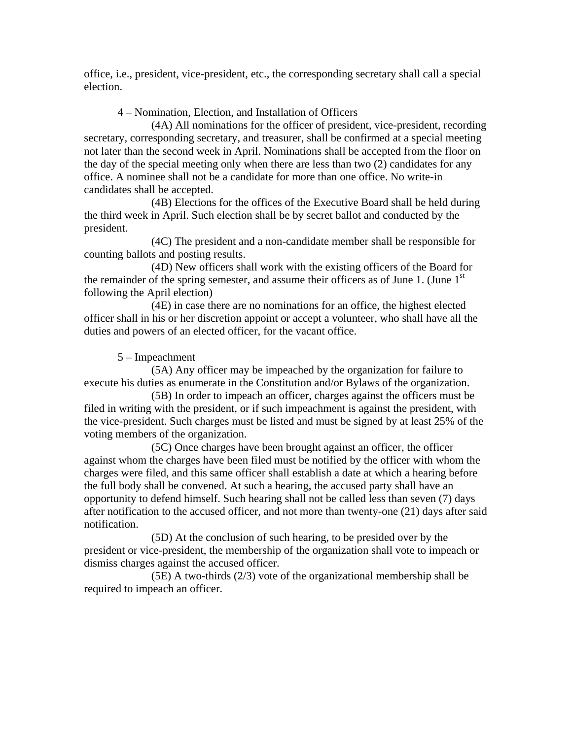office, i.e., president, vice-president, etc., the corresponding secretary shall call a special election.

4 – Nomination, Election, and Installation of Officers

 (4A) All nominations for the officer of president, vice-president, recording secretary, corresponding secretary, and treasurer, shall be confirmed at a special meeting not later than the second week in April. Nominations shall be accepted from the floor on the day of the special meeting only when there are less than two (2) candidates for any office. A nominee shall not be a candidate for more than one office. No write-in candidates shall be accepted.

 (4B) Elections for the offices of the Executive Board shall be held during the third week in April. Such election shall be by secret ballot and conducted by the president.

 (4C) The president and a non-candidate member shall be responsible for counting ballots and posting results.

 (4D) New officers shall work with the existing officers of the Board for the remainder of the spring semester, and assume their officers as of June 1. (June  $1<sup>st</sup>$ following the April election)

 (4E) in case there are no nominations for an office, the highest elected officer shall in his or her discretion appoint or accept a volunteer, who shall have all the duties and powers of an elected officer, for the vacant office.

5 – Impeachment

 (5A) Any officer may be impeached by the organization for failure to execute his duties as enumerate in the Constitution and/or Bylaws of the organization.

 (5B) In order to impeach an officer, charges against the officers must be filed in writing with the president, or if such impeachment is against the president, with the vice-president. Such charges must be listed and must be signed by at least 25% of the voting members of the organization.

 (5C) Once charges have been brought against an officer, the officer against whom the charges have been filed must be notified by the officer with whom the charges were filed, and this same officer shall establish a date at which a hearing before the full body shall be convened. At such a hearing, the accused party shall have an opportunity to defend himself. Such hearing shall not be called less than seven (7) days after notification to the accused officer, and not more than twenty-one (21) days after said notification.

 (5D) At the conclusion of such hearing, to be presided over by the president or vice-president, the membership of the organization shall vote to impeach or dismiss charges against the accused officer.

 (5E) A two-thirds (2/3) vote of the organizational membership shall be required to impeach an officer.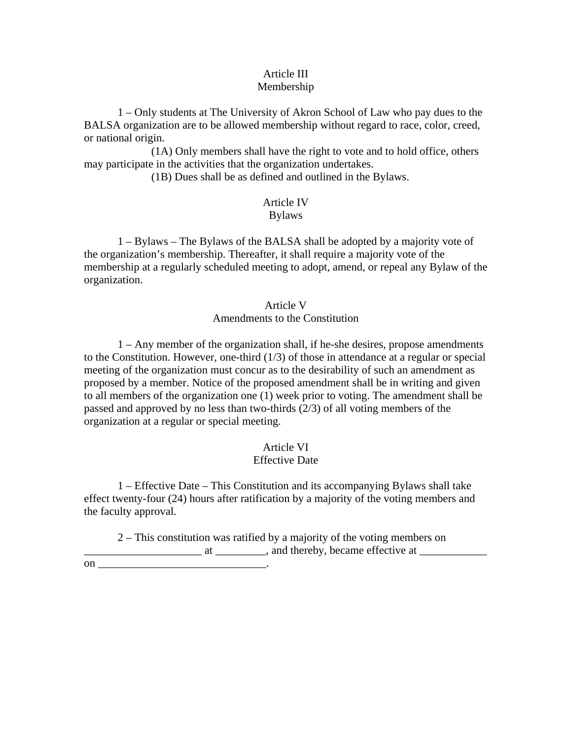#### Article III Membership

 1 – Only students at The University of Akron School of Law who pay dues to the BALSA organization are to be allowed membership without regard to race, color, creed, or national origin.

 (1A) Only members shall have the right to vote and to hold office, others may participate in the activities that the organization undertakes.

(1B) Dues shall be as defined and outlined in the Bylaws.

## Article IV

## Bylaws

 1 – Bylaws – The Bylaws of the BALSA shall be adopted by a majority vote of the organization's membership. Thereafter, it shall require a majority vote of the membership at a regularly scheduled meeting to adopt, amend, or repeal any Bylaw of the organization.

## Article V Amendments to the Constitution

 1 – Any member of the organization shall, if he-she desires, propose amendments to the Constitution. However, one-third (1/3) of those in attendance at a regular or special meeting of the organization must concur as to the desirability of such an amendment as proposed by a member. Notice of the proposed amendment shall be in writing and given to all members of the organization one (1) week prior to voting. The amendment shall be passed and approved by no less than two-thirds (2/3) of all voting members of the organization at a regular or special meeting.

# Article VI

## Effective Date

 1 – Effective Date – This Constitution and its accompanying Bylaws shall take effect twenty-four (24) hours after ratification by a majority of the voting members and the faculty approval.

 2 – This constitution was ratified by a majority of the voting members on  $\Box$  at \_\_\_\_\_\_\_\_, and thereby, became effective at  $\Box$ 

on  $\blacksquare$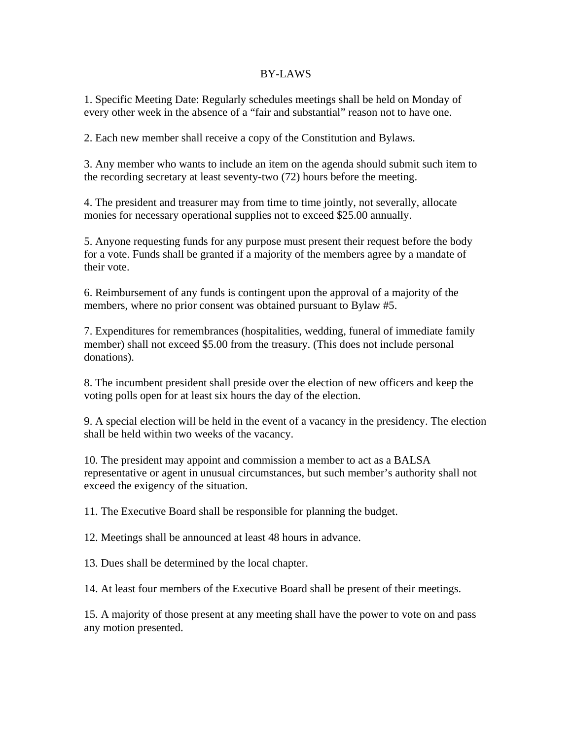### BY-LAWS

1. Specific Meeting Date: Regularly schedules meetings shall be held on Monday of every other week in the absence of a "fair and substantial" reason not to have one.

2. Each new member shall receive a copy of the Constitution and Bylaws.

3. Any member who wants to include an item on the agenda should submit such item to the recording secretary at least seventy-two (72) hours before the meeting.

4. The president and treasurer may from time to time jointly, not severally, allocate monies for necessary operational supplies not to exceed \$25.00 annually.

5. Anyone requesting funds for any purpose must present their request before the body for a vote. Funds shall be granted if a majority of the members agree by a mandate of their vote.

6. Reimbursement of any funds is contingent upon the approval of a majority of the members, where no prior consent was obtained pursuant to Bylaw #5.

7. Expenditures for remembrances (hospitalities, wedding, funeral of immediate family member) shall not exceed \$5.00 from the treasury. (This does not include personal donations).

8. The incumbent president shall preside over the election of new officers and keep the voting polls open for at least six hours the day of the election.

9. A special election will be held in the event of a vacancy in the presidency. The election shall be held within two weeks of the vacancy.

10. The president may appoint and commission a member to act as a BALSA representative or agent in unusual circumstances, but such member's authority shall not exceed the exigency of the situation.

11. The Executive Board shall be responsible for planning the budget.

12. Meetings shall be announced at least 48 hours in advance.

13. Dues shall be determined by the local chapter.

14. At least four members of the Executive Board shall be present of their meetings.

15. A majority of those present at any meeting shall have the power to vote on and pass any motion presented.